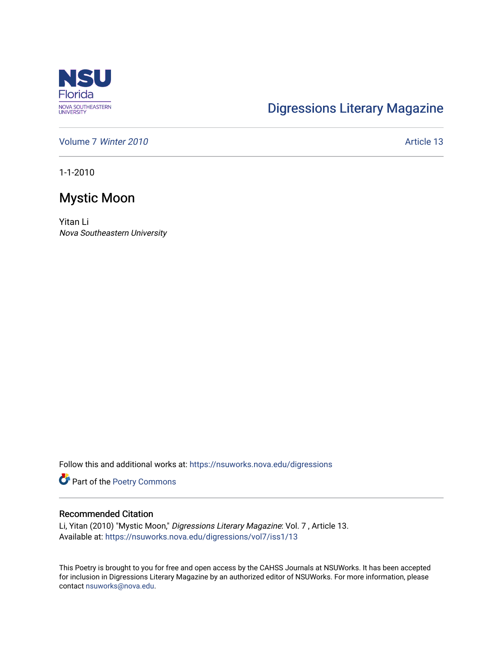

## [Digressions Literary Magazine](https://nsuworks.nova.edu/digressions)

[Volume 7](https://nsuworks.nova.edu/digressions/vol7) Winter 2010 **Article 13** Article 13

1-1-2010

## Mystic Moon

Yitan Li Nova Southeastern University

Follow this and additional works at: [https://nsuworks.nova.edu/digressions](https://nsuworks.nova.edu/digressions?utm_source=nsuworks.nova.edu%2Fdigressions%2Fvol7%2Fiss1%2F13&utm_medium=PDF&utm_campaign=PDFCoverPages) 

Part of the [Poetry Commons](http://network.bepress.com/hgg/discipline/1153?utm_source=nsuworks.nova.edu%2Fdigressions%2Fvol7%2Fiss1%2F13&utm_medium=PDF&utm_campaign=PDFCoverPages) 

## Recommended Citation

Li, Yitan (2010) "Mystic Moon," Digressions Literary Magazine: Vol. 7 , Article 13. Available at: [https://nsuworks.nova.edu/digressions/vol7/iss1/13](https://nsuworks.nova.edu/digressions/vol7/iss1/13?utm_source=nsuworks.nova.edu%2Fdigressions%2Fvol7%2Fiss1%2F13&utm_medium=PDF&utm_campaign=PDFCoverPages) 

This Poetry is brought to you for free and open access by the CAHSS Journals at NSUWorks. It has been accepted for inclusion in Digressions Literary Magazine by an authorized editor of NSUWorks. For more information, please contact [nsuworks@nova.edu.](mailto:nsuworks@nova.edu)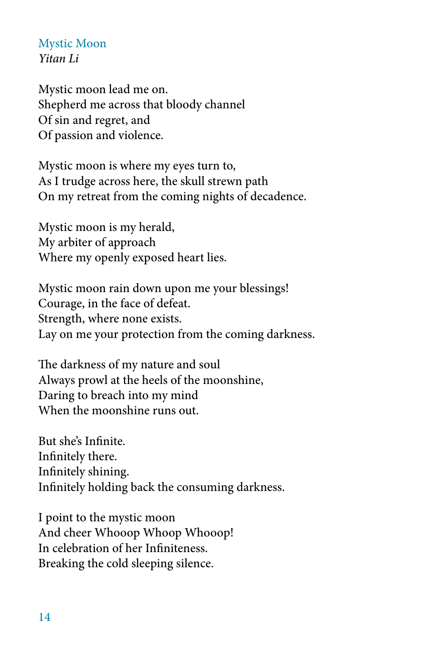Mystic Moon *Yitan Li*

Mystic moon lead me on. Shepherd me across that bloody channel Of sin and regret, and Of passion and violence.

Mystic moon is where my eyes turn to, As I trudge across here, the skull strewn path On my retreat from the coming nights of decadence.

Mystic moon is my herald, My arbiter of approach Where my openly exposed heart lies.

Mystic moon rain down upon me your blessings! Courage, in the face of defeat. Strength, where none exists. Lay on me your protection from the coming darkness.

The darkness of my nature and soul Always prowl at the heels of the moonshine, Daring to breach into my mind When the moonshine runs out.

But she's Infinite. Infinitely there. Infinitely shining. Infinitely holding back the consuming darkness.

I point to the mystic moon And cheer Whooop Whoop Whooop! In celebration of her Infiniteness. Breaking the cold sleeping silence.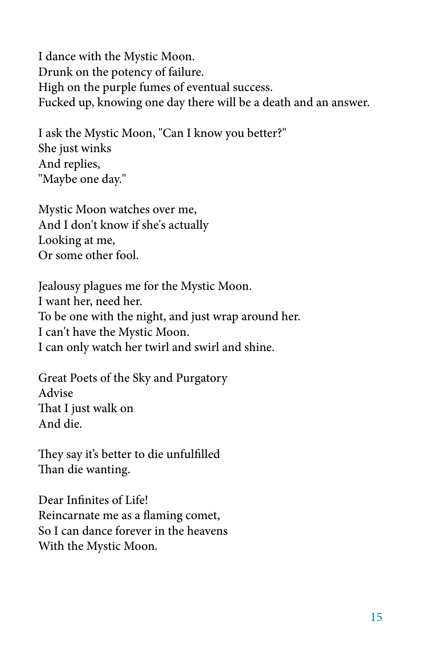I dance with the Mystic Moon. Drunk on the potency of failure. High on the purple fumes of eventual success. Fucked up, knowing one day there will be a death and an answer.

I ask the Mystic Moon, "Can I know you better?" She just winks And replies, "Maybe one day."

Mystic Moon watches over me, And I don't know if she's actually Looking at me, Or some other fool.

Jealousy plagues me for the Mystic Moon. I want her, need her. To be one with the night, and just wrap around her. I can't have the Mystic Moon. I can only watch her twirl and swirl and shine.

Great Poets of the Sky and Purgatory Advise That I just walk on And die.

They say it's better to die unfulfilled Than die wanting.

Dear Infinites of Life! Reincarnate me as a flaming comet, So I can dance forever in the heavens With the Mystic Moon.